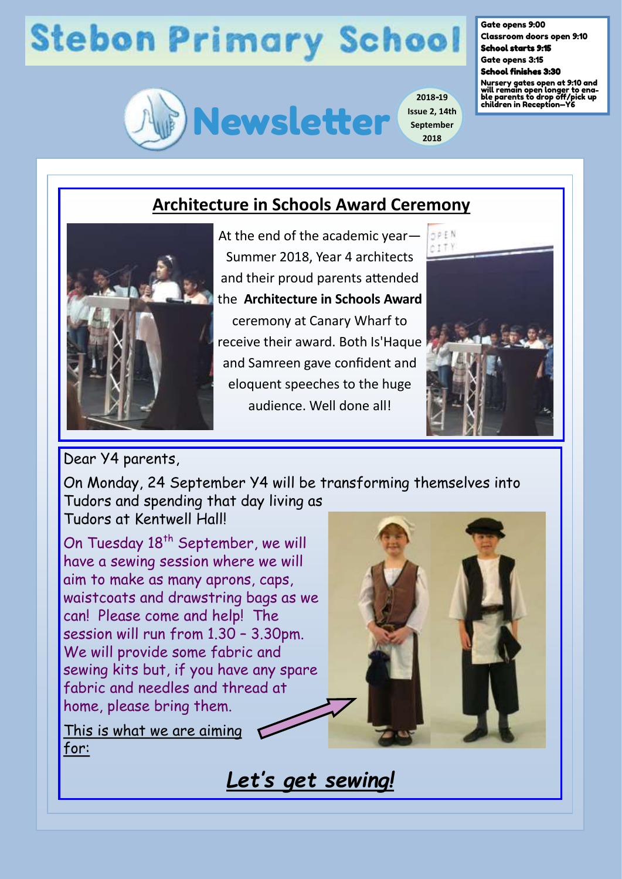## **Stebon Primary School**



**2018-19 Issue 2, 14th September 2018**

## Gate opens 9:00

Classroom doors open 9:10 School starts 9:15

Gate opens 3:15

School finishes 3:30

Nursery gates open at 9:10 and will remain open longer to ena-ble parents to drop off/pick up children in Reception—Y6

## **Architecture in Schools Award Ceremony**



At the end of the academic year— Summer 2018, Year 4 architects and their proud parents attended the **Architecture in Schools Award**

ceremony at Canary Wharf to receive their award. Both Is'Haque and Samreen gave confident and eloquent speeches to the huge audience. Well done all!



Dear Y4 parents,

On Monday, 24 September Y4 will be transforming themselves into Tudors and spending that day living as Tudors at Kentwell Hall!

On Tuesday 18<sup>th</sup> September, we will have a sewing session where we will aim to make as many aprons, caps, waistcoats and drawstring bags as we can! Please come and help! The session will run from 1.30 – 3.30pm. We will provide some fabric and sewing kits but, if you have any spare fabric and needles and thread at home, please bring them.

This is what we are aiming for:

*Let's get sewing!*